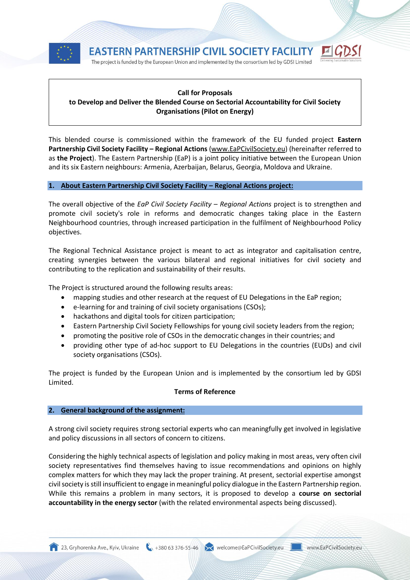





# **Call for Proposals to Develop and Deliver the Blended Course on Sectorial Accountability for Civil Society Organisations (Pilot on Energy)**

This blended course is commissioned within the framework of the EU funded project **Eastern Partnership Civil Society Facility – Regional Actions** [\(www.EaPCivilSociety.eu\)](http://www.eapcivilsociety.eu/) (hereinafter referred to as **the Project**). The Eastern Partnership (EaP) is a joint policy initiative between the European Union and its six Eastern neighbours: Armenia, Azerbaijan, Belarus, Georgia, Moldova and Ukraine.

# **1. About Eastern Partnership Civil Society Facility – Regional Actions project:**

The overall objective of the *EaP Civil Society Facility – Regional Actions* project is to strengthen and promote civil society's role in reforms and democratic changes taking place in the Eastern Neighbourhood countries, through increased participation in the fulfilment of Neighbourhood Policy objectives.

The Regional Technical Assistance project is meant to act as integrator and capitalisation centre, creating synergies between the various bilateral and regional initiatives for civil society and contributing to the replication and sustainability of their results.

The Project is structured around the following results areas:

- mapping studies and other research at the request of EU Delegations in the EaP region;
- e-learning for and training of civil society organisations (CSOs);
- hackathons and digital tools for citizen participation;
- Eastern Partnership Civil Society Fellowships for young civil society leaders from the region;
- promoting the positive role of CSOs in the democratic changes in their countries; and
- providing other type of ad-hoc support to EU Delegations in the countries (EUDs) and civil society organisations (CSOs).

The project is funded by the European Union and is implemented by the consortium led by GDSI Limited.

# **Terms of Reference**

# **2. General background of the assignment:**

A strong civil society requires strong sectorial experts who can meaningfully get involved in legislative and policy discussions in all sectors of concern to citizens.

Considering the highly technical aspects of legislation and policy making in most areas, very often civil society representatives find themselves having to issue recommendations and opinions on highly complex matters for which they may lack the proper training. At present, sectorial expertise amongst civil society is still insufficient to engage in meaningful policy dialogue in the Eastern Partnership region. While this remains a problem in many sectors, it is proposed to develop a **course on sectorial accountability in the energy sector** (with the related environmental aspects being discussed).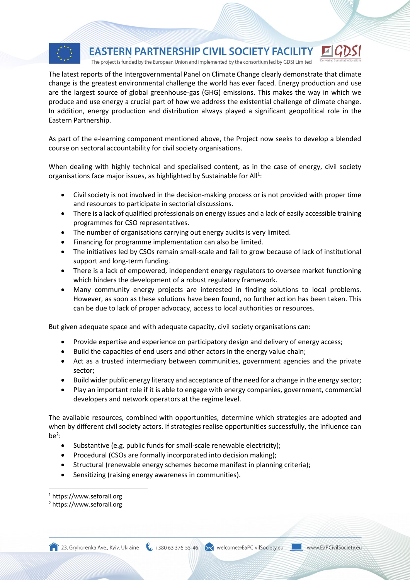

The latest reports of the Intergovernmental Panel on Climate Change clearly demonstrate that climate change is the greatest environmental challenge the world has ever faced. Energy production and use are the largest source of global greenhouse-gas (GHG) emissions. This makes the way in which we produce and use energy a crucial part of how we address the existential challenge of climate change. In addition, energy production and distribution always played a significant geopolitical role in the Eastern Partnership.

As part of the e-learning component mentioned above, the Project now seeks to develop a blended course on sectoral accountability for civil society organisations.

When dealing with highly technical and specialised content, as in the case of energy, civil society organisations face major issues, as highlighted by Sustainable for All<sup>1</sup>:

- Civil society is not involved in the decision-making process or is not provided with proper time and resources to participate in sectorial discussions.
- There is a lack of qualified professionals on energy issues and a lack of easily accessible training programmes for CSO representatives.
- The number of organisations carrying out energy audits is very limited.
- Financing for programme implementation can also be limited.
- The initiatives led by CSOs remain small-scale and fail to grow because of lack of institutional support and long-term funding.
- There is a lack of empowered, independent energy regulators to oversee market functioning which hinders the development of a robust regulatory framework.
- Many community energy projects are interested in finding solutions to local problems. However, as soon as these solutions have been found, no further action has been taken. This can be due to lack of proper advocacy, access to local authorities or resources.

But given adequate space and with adequate capacity, civil society organisations can:

- Provide expertise and experience on participatory design and delivery of energy access;
- Build the capacities of end users and other actors in the energy value chain;
- Act as a trusted intermediary between communities, government agencies and the private sector;
- Build wider public energy literacy and acceptance of the need for a change in the energy sector;
- Play an important role if it is able to engage with energy companies, government, commercial developers and network operators at the regime level.

The available resources, combined with opportunities, determine which strategies are adopted and when by different civil society actors. If strategies realise opportunities successfully, the influence can  $be<sup>2</sup>$ :

- Substantive (e.g. public funds for small-scale renewable electricity);
- Procedural (CSOs are formally incorporated into decision making);
- Structural (renewable energy schemes become manifest in planning criteria);
- Sensitizing (raising energy awareness in communities).

l

23, Gryhorenka Ave., Kyiv, Ukraine (1) +380 63 376-55-46 Welcome@EaPCivilSociety.eu Www.EaPCivilSociety.eu

<sup>1</sup> https://www.seforall.org

<sup>2</sup> https://www.seforall.org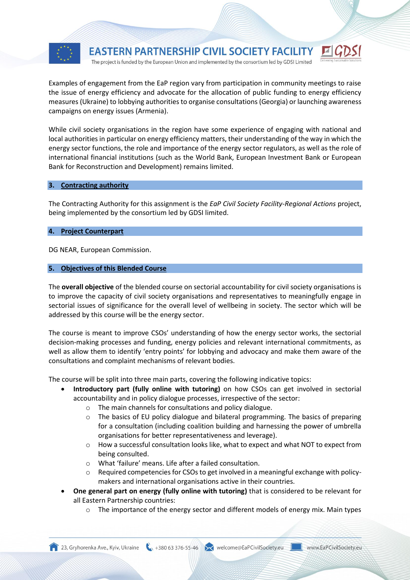

Examples of engagement from the EaP region vary from participation in community meetings to raise the issue of energy efficiency and advocate for the allocation of public funding to energy efficiency measures (Ukraine) to lobbying authorities to organise consultations (Georgia) or launching awareness campaigns on energy issues (Armenia).

While civil society organisations in the region have some experience of engaging with national and local authorities in particular on energy efficiency matters, their understanding of the way in which the energy sector functions, the role and importance of the energy sector regulators, as well as the role of international financial institutions (such as the World Bank, European Investment Bank or European Bank for Reconstruction and Development) remains limited.

## **3. Contracting authority**

The Contracting Authority for this assignment is the *EaP Civil Society Facility*-*Regional Actions* project, being implemented by the consortium led by GDSI limited.

## **4. Project Counterpart**

DG NEAR, European Commission.

## **5. Objectives of this Blended Course**

The **overall objective** of the blended course on sectorial accountability for civil society organisations is to improve the capacity of civil society organisations and representatives to meaningfully engage in sectorial issues of significance for the overall level of wellbeing in society. The sector which will be addressed by this course will be the energy sector.

The course is meant to improve CSOs' understanding of how the energy sector works, the sectorial decision-making processes and funding, energy policies and relevant international commitments, as well as allow them to identify 'entry points' for lobbying and advocacy and make them aware of the consultations and complaint mechanisms of relevant bodies.

The course will be split into three main parts, covering the following indicative topics:

- **Introductory part (fully online with tutoring)** on how CSOs can get involved in sectorial accountability and in policy dialogue processes, irrespective of the sector:
	- o The main channels for consultations and policy dialogue.
	- $\circ$  The basics of EU policy dialogue and bilateral programming. The basics of preparing for a consultation (including coalition building and harnessing the power of umbrella organisations for better representativeness and leverage).
	- o How a successful consultation looks like, what to expect and what NOT to expect from being consulted.
	- o What 'failure' means. Life after a failed consultation.
	- $\circ$  Required competencies for CSOs to get involved in a meaningful exchange with policymakers and international organisations active in their countries.
- **One general part on energy (fully online with tutoring)** that is considered to be relevant for all Eastern Partnership countries:
	- $\circ$  The importance of the energy sector and different models of energy mix. Main types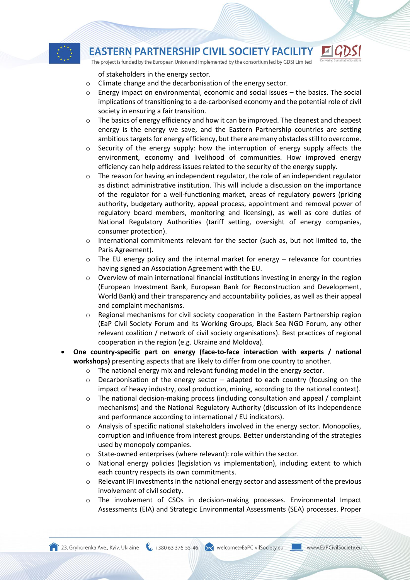

The project is funded by the European Union and implemented by the consortium led by GDSI Limited

of stakeholders in the energy sector.

- o Climate change and the decarbonisation of the energy sector.
- $\circ$  Energy impact on environmental, economic and social issues the basics. The social implications of transitioning to a de-carbonised economy and the potential role of civil society in ensuring a fair transition.
- $\circ$  The basics of energy efficiency and how it can be improved. The cleanest and cheapest energy is the energy we save, and the Eastern Partnership countries are setting ambitious targets for energy efficiency, but there are many obstacles still to overcome.
- Security of the energy supply: how the interruption of energy supply affects the environment, economy and livelihood of communities. How improved energy efficiency can help address issues related to the security of the energy supply.
- $\circ$  The reason for having an independent regulator, the role of an independent regulator as distinct administrative institution. This will include a discussion on the importance of the regulator for a well-functioning market, areas of regulatory powers (pricing authority, budgetary authority, appeal process, appointment and removal power of regulatory board members, monitoring and licensing), as well as core duties of National Regulatory Authorities (tariff setting, oversight of energy companies, consumer protection).
- $\circ$  International commitments relevant for the sector (such as, but not limited to, the Paris Agreement).
- o The EU energy policy and the internal market for energy relevance for countries having signed an Association Agreement with the EU.
- $\circ$  Overview of main international financial institutions investing in energy in the region (European Investment Bank, European Bank for Reconstruction and Development, World Bank) and their transparency and accountability policies, as well as their appeal and complaint mechanisms.
- $\circ$  Regional mechanisms for civil society cooperation in the Eastern Partnership region (EaP Civil Society Forum and its Working Groups, Black Sea NGO Forum, any other relevant coalition / network of civil society organisations). Best practices of regional cooperation in the region (e.g. Ukraine and Moldova).
- **One country-specific part on energy (face-to-face interaction with experts / national workshops)** presenting aspects that are likely to differ from one country to another.
	- o The national energy mix and relevant funding model in the energy sector.
	- o Decarbonisation of the energy sector adapted to each country (focusing on the impact of heavy industry, coal production, mining, according to the national context).
	- $\circ$  The national decision-making process (including consultation and appeal / complaint mechanisms) and the National Regulatory Authority (discussion of its independence and performance according to international / EU indicators).
	- $\circ$  Analysis of specific national stakeholders involved in the energy sector. Monopolies, corruption and influence from interest groups. Better understanding of the strategies used by monopoly companies.
	- o State-owned enterprises (where relevant): role within the sector.
	- o National energy policies (legislation vs implementation), including extent to which each country respects its own commitments.
	- $\circ$  Relevant IFI investments in the national energy sector and assessment of the previous involvement of civil society.
	- The involvement of CSOs in decision-making processes. Environmental Impact Assessments (EIA) and Strategic Environmental Assessments (SEA) processes. Proper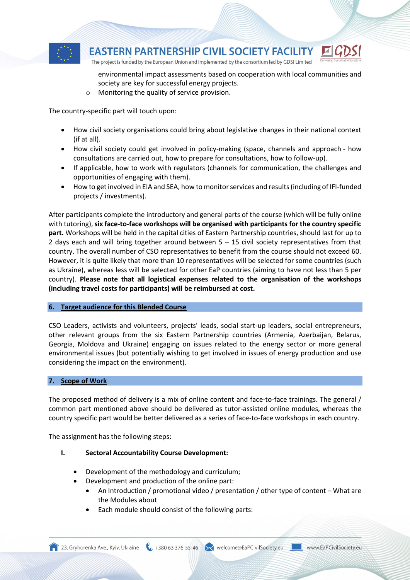

environmental impact assessments based on cooperation with local communities and society are key for successful energy projects.

o Monitoring the quality of service provision.

The country-specific part will touch upon:

- How civil society organisations could bring about legislative changes in their national context (if at all).
- How civil society could get involved in policy-making (space, channels and approach how consultations are carried out, how to prepare for consultations, how to follow-up).
- If applicable, how to work with regulators (channels for communication, the challenges and opportunities of engaging with them).
- How to get involved in EIA and SEA, how to monitor services and results (including of IFI-funded projects / investments).

After participants complete the introductory and general parts of the course (which will be fully online with tutoring), **six face-to-face workshops will be organised with participants for the country specific part.** Workshops will be held in the capital cities of Eastern Partnership countries, should last for up to 2 days each and will bring together around between 5 – 15 civil society representatives from that country. The overall number of CSO representatives to benefit from the course should not exceed 60. However, it is quite likely that more than 10 representatives will be selected for some countries (such as Ukraine), whereas less will be selected for other EaP countries (aiming to have not less than 5 per country). **Please note that all logistical expenses related to the organisation of the workshops (including travel costs for participants) will be reimbursed at cost.** 

# **6. Target audience for this Blended Course**

CSO Leaders, activists and volunteers, projects' leads, social start-up leaders, social entrepreneurs, other relevant groups from the six Eastern Partnership countries (Armenia, Azerbaijan, Belarus, Georgia, Moldova and Ukraine) engaging on issues related to the energy sector or more general environmental issues (but potentially wishing to get involved in issues of energy production and use considering the impact on the environment).

# **7. Scope of Work**

The proposed method of delivery is a mix of online content and face-to-face trainings. The general / common part mentioned above should be delivered as tutor-assisted online modules, whereas the country specific part would be better delivered as a series of face-to-face workshops in each country.

The assignment has the following steps:

- **I. Sectoral Accountability Course Development:**
	- Development of the methodology and curriculum;
	- Development and production of the online part:
		- An Introduction / promotional video / presentation / other type of content What are the Modules about
		- Each module should consist of the following parts:

23, Gryhorenka Ave., Kyiv, Ukraine (1) +380 63 376-55-46 Welcome@EaPCivilSociety.eu Www.EaPCivilSociety.eu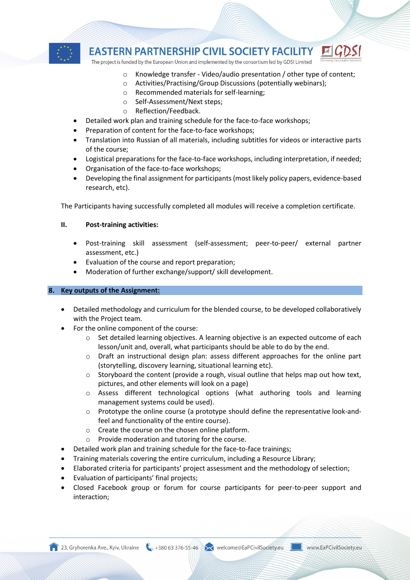

The project is funded by the European Union and implemented by the consortium led by GDSI Limited

- o Knowledge transfer Video/audio presentation / other type of content;
- o Activities/Practising/Group Discussions (potentially webinars);
- o Recommended materials for self-learning;
- o Self-Assessment/Next steps;
- o Reflection/Feedback.
- Detailed work plan and training schedule for the face-to-face workshops;
- Preparation of content for the face-to-face workshops;
- Translation into Russian of all materials, including subtitles for videos or interactive parts of the course;
- Logistical preparations for the face-to-face workshops, including interpretation, if needed;
- Organisation of the face-to-face workshops;
- Developing the final assignment for participants(most likely policy papers, evidence-based research, etc).

The Participants having successfully completed all modules will receive a completion certificate.

## **II. Post-training activities:**

- Post-training skill assessment (self-assessment; peer-to-peer/ external partner assessment, etc.)
- Evaluation of the course and report preparation;
- Moderation of further exchange/support/ skill development.

# **8. Key outputs of the Assignment:**

- Detailed methodology and curriculum for the blended course, to be developed collaboratively with the Project team.
- For the online component of the course:
	- $\circ$  Set detailed learning objectives. A learning objective is an expected outcome of each lesson/unit and, overall, what participants should be able to do by the end.
	- o Draft an instructional design plan: assess different approaches for the online part (storytelling, discovery learning, situational learning etc).
	- $\circ$  Storyboard the content (provide a rough, visual outline that helps map out how text, pictures, and other elements will look on a page)
	- o Assess different technological options (what authoring tools and learning management systems could be used).
	- $\circ$  Prototype the online course (a prototype should define the representative look-andfeel and functionality of the entire course).
	- o Create the course on the chosen online platform.
	- o Provide moderation and tutoring for the course.
- Detailed work plan and training schedule for the face-to-face trainings;
- Training materials covering the entire curriculum, including a Resource Library;
- Elaborated criteria for participants' project assessment and the methodology of selection;
- Evaluation of participants' final projects;
- Closed Facebook group or forum for course participants for peer-to-peer support and interaction;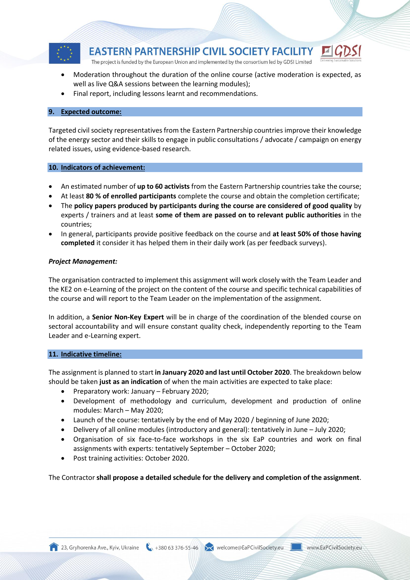

- Moderation throughout the duration of the online course (active moderation is expected, as well as live Q&A sessions between the learning modules);
- Final report, including lessons learnt and recommendations.

# **9. Expected outcome:**

Targeted civil society representatives from the Eastern Partnership countries improve their knowledge of the energy sector and their skills to engage in public consultations / advocate / campaign on energy related issues, using evidence-based research.

# **10. Indicators of achievement:**

- An estimated number of **up to 60 activists** from the Eastern Partnership countries take the course;
- At least **80 % of enrolled participants** complete the course and obtain the completion certificate;
- The **policy papers produced by participants during the course are considered of good quality** by experts / trainers and at least **some of them are passed on to relevant public authorities** in the countries;
- In general, participants provide positive feedback on the course and **at least 50% of those having completed** it consider it has helped them in their daily work (as per feedback surveys).

# *Project Management:*

The organisation contracted to implement this assignment will work closely with the Team Leader and the KE2 on e-Learning of the project on the content of the course and specific technical capabilities of the course and will report to the Team Leader on the implementation of the assignment.

In addition, a **Senior Non-Key Expert** will be in charge of the coordination of the blended course on sectoral accountability and will ensure constant quality check, independently reporting to the Team Leader and e-Learning expert.

# **11. Indicative timeline:**

The assignment is planned to start **in January 2020 and last until October 2020**. The breakdown below should be taken **just as an indication** of when the main activities are expected to take place:

- Preparatory work: January February 2020;
- Development of methodology and curriculum, development and production of online modules: March – May 2020;
- Launch of the course: tentatively by the end of May 2020 / beginning of June 2020;
- Delivery of all online modules (introductory and general): tentatively in June July 2020;
- Organisation of six face-to-face workshops in the six EaP countries and work on final assignments with experts: tentatively September – October 2020;
- Post training activities: October 2020.

The Contractor **shall propose a detailed schedule for the delivery and completion of the assignment**.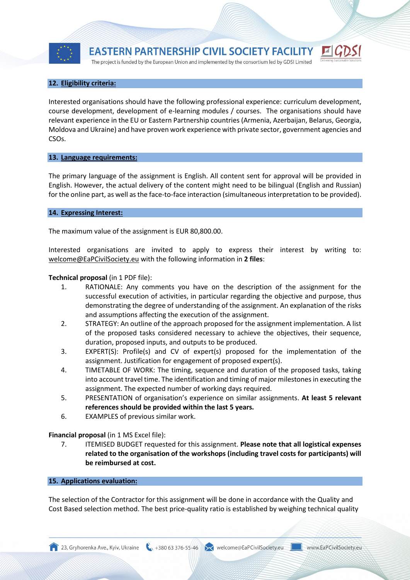

The project is funded by the European Union and implemented by the consortium led by GDSI Limited



# **12. Eligibility criteria:**

Interested organisations should have the following professional experience: curriculum development, course development, development of e-learning modules / courses. The organisations should have relevant experience in the EU or Eastern Partnership countries (Armenia, Azerbaijan, Belarus, Georgia, Moldova and Ukraine) and have proven work experience with private sector, government agencies and CSOs.

#### **13. Language requirements:**

The primary language of the assignment is English. All content sent for approval will be provided in English. However, the actual delivery of the content might need to be bilingual (English and Russian) for the online part, as well as the face-to-face interaction (simultaneous interpretation to be provided).

## **14. Expressing Interest:**

The maximum value of the assignment is EUR 80,800.00.

Interested organisations are invited to apply to express their interest by writing to: [welcome@EaPCivilSociety.eu](mailto:welcome@EaPCivilSociety.eu) with the following information in **2 files**:

## **Technical proposal** (in 1 PDF file):

- 1. RATIONALE: Any comments you have on the description of the assignment for the successful execution of activities, in particular regarding the objective and purpose, thus demonstrating the degree of understanding of the assignment. An explanation of the risks and assumptions affecting the execution of the assignment.
- 2. STRATEGY: An outline of the approach proposed for the assignment implementation. A list of the proposed tasks considered necessary to achieve the objectives, their sequence, duration, proposed inputs, and outputs to be produced.
- 3. EXPERT(S): Profile(s) and CV of expert(s) proposed for the implementation of the assignment. Justification for engagement of proposed expert(s).
- 4. TIMETABLE OF WORK: The timing, sequence and duration of the proposed tasks, taking into account travel time. The identification and timing of major milestones in executing the assignment. The expected number of working days required.
- 5. PRESENTATION of organisation's experience on similar assignments. **At least 5 relevant references should be provided within the last 5 years.**
- 6. EXAMPLES of previous similar work.

**Financial proposal** (in 1 MS Excel file):

7. ITEMISED BUDGET requested for this assignment. **Please note that all logistical expenses related to the organisation of the workshops (including travel costs for participants) will be reimbursed at cost.** 

## **15. Applications evaluation:**

The selection of the Contractor for this assignment will be done in accordance with the Quality and Cost Based selection method. The best price-quality ratio is established by weighing technical quality